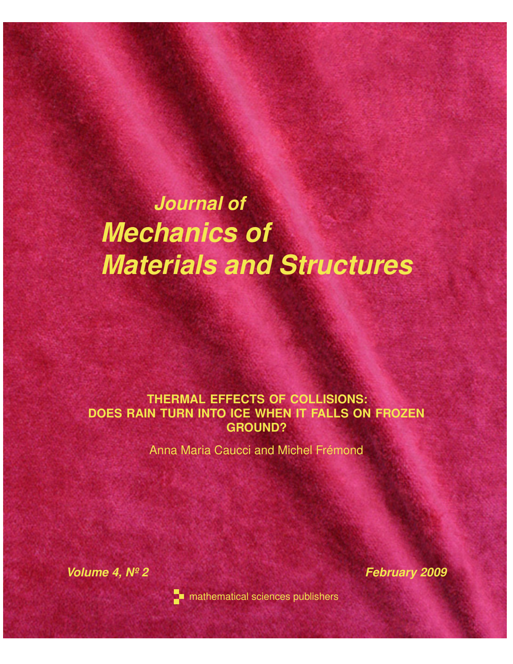# *Journal of Mechanics of Materials and Structures*

## **THERMAL EFFECTS OF COLLISIONS: DOES RAIN TURN INTO ICE WHEN IT FALLS ON FROZEN GROUND?**

Anna Maria Caucci and Michel Frémond

*Volume 4, Nº 2* February 2009



**T** mathematical sciences publishers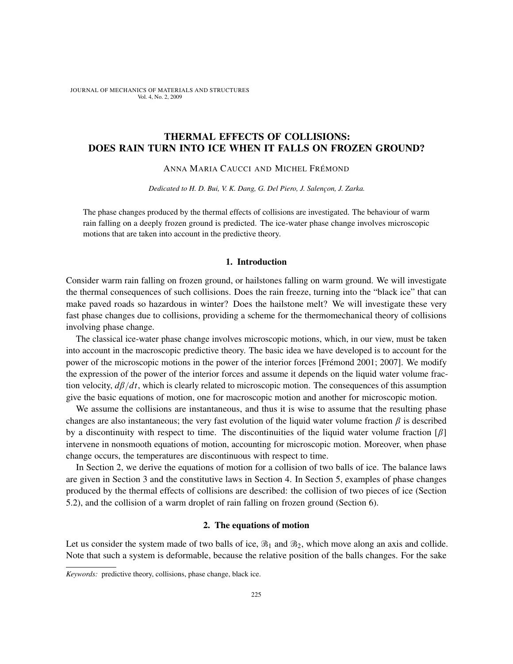### THERMAL EFFECTS OF COLLISIONS: DOES RAIN TURN INTO ICE WHEN IT FALLS ON FROZEN GROUND?

#### ANNA MARIA CAUCCI AND MICHEL FRÉMOND

*Dedicated to H. D. Bui, V. K. Dang, G. Del Piero, J. Salençon, J. Zarka.*

The phase changes produced by the thermal effects of collisions are investigated. The behaviour of warm rain falling on a deeply frozen ground is predicted. The ice-water phase change involves microscopic motions that are taken into account in the predictive theory.

#### 1. Introduction

Consider warm rain falling on frozen ground, or hailstones falling on warm ground. We will investigate the thermal consequences of such collisions. Does the rain freeze, turning into the "black ice" that can make paved roads so hazardous in winter? Does the hailstone melt? We will investigate these very fast phase changes due to collisions, providing a scheme for the thermomechanical theory of collisions involving phase change.

The classical ice-water phase change involves microscopic motions, which, in our view, must be taken into account in the macroscopic predictive theory. The basic idea we have developed is to account for the power of the microscopic motions in the power of the interior forces [Frémond 2001; 2007]. We modify the expression of the power of the interior forces and assume it depends on the liquid water volume fraction velocity, *d*β/*dt*, which is clearly related to microscopic motion. The consequences of this assumption give the basic equations of motion, one for macroscopic motion and another for microscopic motion.

We assume the collisions are instantaneous, and thus it is wise to assume that the resulting phase changes are also instantaneous; the very fast evolution of the liquid water volume fraction  $\beta$  is described by a discontinuity with respect to time. The discontinuities of the liquid water volume fraction  $\lceil \beta \rceil$ intervene in nonsmooth equations of motion, accounting for microscopic motion. Moreover, when phase change occurs, the temperatures are discontinuous with respect to time.

In Section 2, we derive the equations of motion for a collision of two balls of ice. The balance laws are given in Section 3 and the constitutive laws in Section 4. In Section 5, examples of phase changes produced by the thermal effects of collisions are described: the collision of two pieces of ice (Section 5.2), and the collision of a warm droplet of rain falling on frozen ground (Section 6).

#### 2. The equations of motion

Let us consider the system made of two balls of ice,  $\mathcal{B}_1$  and  $\mathcal{B}_2$ , which move along an axis and collide. Note that such a system is deformable, because the relative position of the balls changes. For the sake

*Keywords:* predictive theory, collisions, phase change, black ice.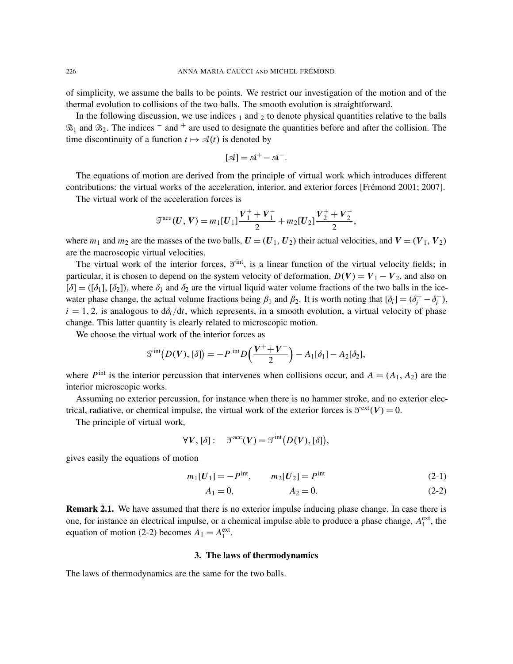of simplicity, we assume the balls to be points. We restrict our investigation of the motion and of the thermal evolution to collisions of the two balls. The smooth evolution is straightforward.

In the following discussion, we use indices  $_1$  and  $_2$  to denote physical quantities relative to the balls  $\mathfrak{B}_1$  and  $\mathfrak{B}_2$ . The indices  $^-$  and  $^+$  are used to designate the quantities before and after the collision. The time discontinuity of a function  $t \mapsto \mathcal{A}(t)$  is denoted by

$$
[\mathcal{A}] = \mathcal{A}^+ - \mathcal{A}^-.
$$

The equations of motion are derived from the principle of virtual work which introduces different contributions: the virtual works of the acceleration, interior, and exterior forces [Frémond 2001; 2007].

The virtual work of the acceleration forces is

$$
\mathcal{T}^{\text{acc}}(U, V) = m_1[U_1] \frac{V_1^+ + V_1^-}{2} + m_2[U_2] \frac{V_2^+ + V_2^-}{2},
$$

where  $m_1$  and  $m_2$  are the masses of the two balls,  $U = (U_1, U_2)$  their actual velocities, and  $V = (V_1, V_2)$ are the macroscopic virtual velocities.

The virtual work of the interior forces,  $\mathcal{T}^{\text{int}}$ , is a linear function of the virtual velocity fields; in particular, it is chosen to depend on the system velocity of deformation,  $D(V) = V_1 - V_2$ , and also on  $[\delta] = ([\delta_1], [\delta_2])$ , where  $\delta_1$  and  $\delta_2$  are the virtual liquid water volume fractions of the two balls in the icewater phase change, the actual volume fractions being  $\beta_1$  and  $\beta_2$ . It is worth noting that  $[\delta_i] = (\delta_i^+ - \delta_i^-)$ *i* ),  $i = 1, 2$ , is analogous to  $d\delta_i/dt$ , which represents, in a smooth evolution, a virtual velocity of phase change. This latter quantity is clearly related to microscopic motion.

We choose the virtual work of the interior forces as

$$
\mathcal{T}^{\text{int}}\big(D(V), [\delta]\big) = -P^{\text{ int}}D\Big(\frac{V^+ + V^-}{2}\Big) - A_1[\delta_1] - A_2[\delta_2],
$$

where  $P^{\text{int}}$  is the interior percussion that intervenes when collisions occur, and  $A = (A_1, A_2)$  are the interior microscopic works.

Assuming no exterior percussion, for instance when there is no hammer stroke, and no exterior electrical, radiative, or chemical impulse, the virtual work of the exterior forces is  $\mathcal{T}^{\text{ext}}(V) = 0$ .

The principle of virtual work,

$$
\forall V, [\delta]: \quad \mathfrak{T}^{\text{acc}}(V) = \mathfrak{T}^{\text{int}}(D(V), [\delta]),
$$

gives easily the equations of motion

$$
m_1[U_1] = -P^{\text{int}}, \qquad m_2[U_2] = P^{\text{int}} \tag{2-1}
$$

$$
A_1 = 0, \t A_2 = 0. \t (2-2)
$$

**Remark 2.1.** We have assumed that there is no exterior impulse inducing phase change. In case there is one, for instance an electrical impulse, or a chemical impulse able to produce a phase change,  $A_1^{\text{ext}}$ , the equation of motion (2-2) becomes  $A_1 = A_1^{\text{ext}}$ .

#### 3. The laws of thermodynamics

The laws of thermodynamics are the same for the two balls.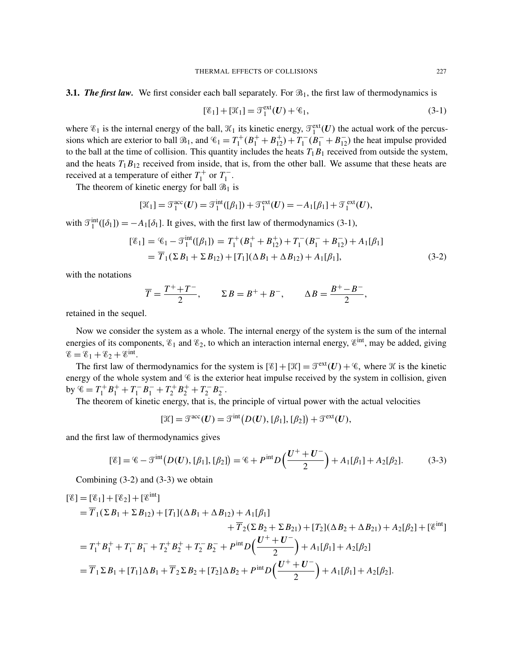$$
[\mathscr{E}_1] + [\mathscr{K}_1] = \mathscr{T}_1^{\text{ext}}(U) + \mathscr{C}_1,\tag{3-1}
$$

where  $\mathscr{E}_1$  is the internal energy of the ball,  $\mathscr{K}_1$  its kinetic energy,  $\mathscr{T}_1^{\text{ext}}(U)$  the actual work of the percussions which are exterior to ball  $\mathcal{B}_1$ , and  $\mathcal{C}_1 = T_1^+$  $T_1^+(B_1^+ + B_{12}^+) + T_1^ \binom{1}{1}$  ( $\widehat{B}_1^-$  +  $\widehat{B}_{12}^-$ ) the heat impulse provided to the ball at the time of collision. This quantity includes the heats  $T_1B_1$  received from outside the system, and the heats  $T_1B_{12}$  received from inside, that is, from the other ball. We assume that these heats are received at a temperature of either  $T_1^+$  $T_1^+$  or  $T_1^ \frac{1}{1}$ .

The theorem of kinetic energy for ball  $\mathcal{B}_1$  is

$$
[\mathcal{K}_1] = \mathcal{T}_1^{\text{acc}}(\boldsymbol{U}) = \mathcal{T}_1^{\text{int}}([\beta_1]) + \mathcal{T}_1^{\text{ext}}(\boldsymbol{U}) = -A_1[\beta_1] + \mathcal{T}_1^{\text{ext}}(\boldsymbol{U}),
$$

with  $\mathcal{T}_1^{\text{int}}([\delta_1]) = -A_1[\delta_1]$ . It gives, with the first law of thermodynamics (3-1),

$$
[\mathscr{E}_1] = \mathscr{E}_1 - \mathscr{T}_1^{\text{int}}([\beta_1]) = T_1^+(B_1^+ + B_{12}^+) + T_1^-(B_1^- + B_{12}^-) + A_1[\beta_1]
$$
  
=  $\overline{T}_1(\Sigma B_1 + \Sigma B_{12}) + [T_1](\Delta B_1 + \Delta B_{12}) + A_1[\beta_1],$  (3-2)

with the notations

$$
\overline{T} = \frac{T^+ + T^-}{2}, \qquad \Sigma B = B^+ + B^-, \qquad \Delta B = \frac{B^+ - B^-}{2},
$$

retained in the sequel.

Now we consider the system as a whole. The internal energy of the system is the sum of the internal energies of its components,  $\mathscr{E}_1$  and  $\mathscr{E}_2$ , to which an interaction internal energy,  $\mathscr{E}^{\text{int}}$ , may be added, giving  $\mathscr{E} = \mathscr{E}_1 + \mathscr{E}_2 + \mathscr{E}^{\text{int}}.$ 

The first law of thermodynamics for the system is  $[\mathscr{E}] + [\mathscr{K}] = \mathscr{T}^{ext}(U) + \mathscr{C}$ , where  $\mathscr{K}$  is the kinetic energy of the whole system and  $\mathscr C$  is the exterior heat impulse received by the system in collision, given by  $\mathscr{C} = T_1^+$  $T_1^+ B_1^+ + T_1^ T_1 - B_1 - T_2^+$  $T_2^+ B_2^+ + T_2^ \frac{1}{2}$ <sup>-</sup> $B_2^ \frac{1}{2}$ .

The theorem of kinetic energy, that is, the principle of virtual power with the actual velocities

$$
[\mathfrak{K}]=\mathfrak{T}^{\rm acc}(U)=\mathfrak{T}^{\rm int}(D(U), [\beta_1], [\beta_2])+\mathfrak{T}^{\rm ext}(U),
$$

and the first law of thermodynamics gives

$$
[\mathscr{E}] = \mathscr{E} - \mathscr{T}^{\text{int}}(D(U), [\beta_1], [\beta_2]) = \mathscr{E} + P^{\text{int}}D\left(\frac{U^+ + U^-}{2}\right) + A_1[\beta_1] + A_2[\beta_2].\tag{3-3}
$$

Combining (3-2) and (3-3) we obtain

$$
\begin{split}\n[\mathscr{E}] &= [\mathscr{E}_{1}] + [\mathscr{E}_{2}] + [\mathscr{E}^{\text{int}}] \\
&= \overline{T}_{1}(\Sigma B_{1} + \Sigma B_{12}) + [T_{1}](\Delta B_{1} + \Delta B_{12}) + A_{1}[\beta_{1}] \\
&+ \overline{T}_{2}(\Sigma B_{2} + \Sigma B_{21}) + [T_{2}](\Delta B_{2} + \Delta B_{21}) + A_{2}[\beta_{2}] + [\mathscr{E}^{\text{int}}] \\
&= T_{1}^{+} B_{1}^{+} + T_{1}^{-} B_{1}^{-} + T_{2}^{+} B_{2}^{+} + T_{2}^{-} B_{2}^{-} + P^{\text{int}} D\left(\frac{U^{+} + U^{-}}{2}\right) + A_{1}[\beta_{1}] + A_{2}[\beta_{2}] \\
&= \overline{T}_{1} \Sigma B_{1} + [T_{1}] \Delta B_{1} + \overline{T}_{2} \Sigma B_{2} + [T_{2}] \Delta B_{2} + P^{\text{int}} D\left(\frac{U^{+} + U^{-}}{2}\right) + A_{1}[\beta_{1}] + A_{2}[\beta_{2}].\n\end{split}
$$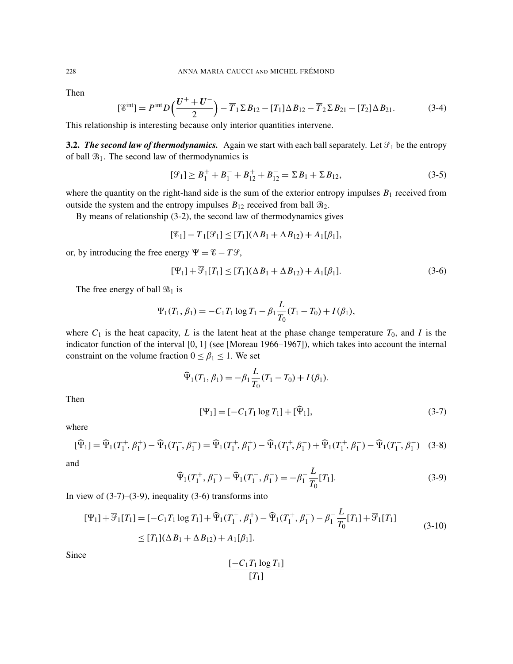Then

$$
[\mathcal{E}^{\text{int}}] = P^{\text{int}} D\left(\frac{U^+ + U^-}{2}\right) - \overline{T}_1 \Sigma B_{12} - [T_1] \Delta B_{12} - \overline{T}_2 \Sigma B_{21} - [T_2] \Delta B_{21}.
$$
 (3-4)

This relationship is interesting because only interior quantities intervene.

**3.2.** *The second law of thermodynamics.* Again we start with each ball separately. Let  $\mathcal{F}_1$  be the entropy of ball  $\mathfrak{B}_1$ . The second law of thermodynamics is

$$
[\mathcal{G}_1] \ge B_1^+ + B_1^- + B_{12}^+ + B_{12}^- = \Sigma B_1 + \Sigma B_{12},\tag{3-5}
$$

where the quantity on the right-hand side is the sum of the exterior entropy impulses  $B_1$  received from outside the system and the entropy impulses  $B_{12}$  received from ball  $\mathcal{B}_{2}$ .

By means of relationship (3-2), the second law of thermodynamics gives

$$
[\mathscr{E}_1] - \overline{T}_1[\mathscr{G}_1] \le [T_1](\Delta B_1 + \Delta B_{12}) + A_1[\beta_1],
$$

or, by introducing the free energy  $\Psi = \mathscr{E} - T\mathscr{G}$ ,

$$
[\Psi_1] + \overline{\mathcal{G}}_1[T_1] \le [T_1](\Delta B_1 + \Delta B_{12}) + A_1[\beta_1].\tag{3-6}
$$

The free energy of ball  $\mathcal{B}_1$  is

$$
\Psi_1(T_1, \beta_1) = -C_1 T_1 \log T_1 - \beta_1 \frac{L}{T_0} (T_1 - T_0) + I(\beta_1),
$$

where  $C_1$  is the heat capacity, *L* is the latent heat at the phase change temperature  $T_0$ , and *I* is the indicator function of the interval [0, 1] (see [Moreau 1966–1967]), which takes into account the internal constraint on the volume fraction  $0 \le \beta_1 \le 1$ . We set

$$
\widehat{\Psi}_1(T_1, \beta_1) = -\beta_1 \frac{L}{T_0} (T_1 - T_0) + I(\beta_1).
$$

Then

$$
[\Psi_1] = [-C_1 T_1 \log T_1] + [\widehat{\Psi}_1], \tag{3-7}
$$

where

$$
[\widehat{\Psi}_1] = \widehat{\Psi}_1(T_1^+, \beta_1^+) - \widehat{\Psi}_1(T_1^-, \beta_1^-) = \widehat{\Psi}_1(T_1^+, \beta_1^+) - \widehat{\Psi}_1(T_1^+, \beta_1^-) + \widehat{\Psi}_1(T_1^+, \beta_1^-) - \widehat{\Psi}_1(T_1^-, \beta_1^-)
$$
(3-8)

and

$$
\widehat{\Psi}_1(T_1^+, \beta_1^-) - \widehat{\Psi}_1(T_1^-, \beta_1^-) = -\beta_1^- \frac{L}{T_0} [T_1]. \tag{3-9}
$$

*L*

In view of  $(3-7)$ – $(3-9)$ , inequality  $(3-6)$  transforms into

$$
[\Psi_1] + \overline{\mathcal{F}}_1[T_1] = [-C_1T_1 \log T_1] + \widehat{\Psi}_1(T_1^+, \beta_1^+) - \widehat{\Psi}_1(T_1^+, \beta_1^-) - \beta_1^- \frac{L}{T_0} [T_1] + \overline{\mathcal{F}}_1[T_1]
$$
  
\n
$$
\leq [T_1](\Delta B_1 + \Delta B_{12}) + A_1[\beta_1].
$$
\n(3-10)

Since

$$
\frac{[-C_1T_1\log T_1]}{[T_1]}
$$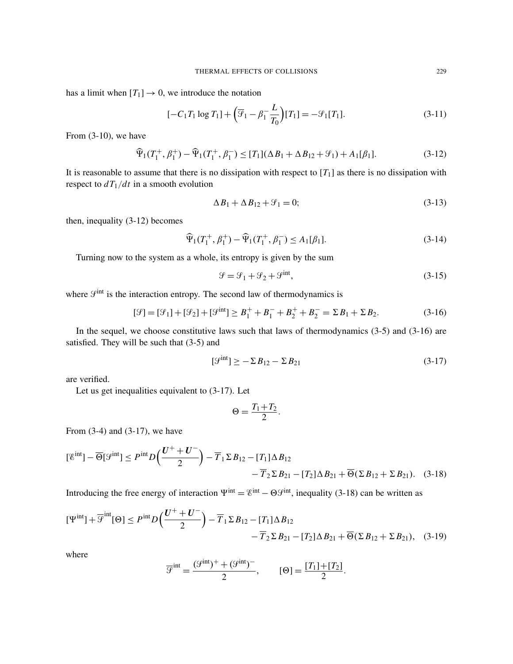has a limit when  $[T_1] \rightarrow 0$ , we introduce the notation

$$
[-C_1T_1 \log T_1] + \left(\overline{\mathcal{F}}_1 - \beta_1 \frac{L}{T_0}\right)[T_1] = -\mathcal{F}_1[T_1].\tag{3-11}
$$

From (3-10), we have

$$
\widehat{\Psi}_1(T_1^+, \beta_1^+) - \widehat{\Psi}_1(T_1^+, \beta_1^-) \le [T_1](\Delta B_1 + \Delta B_{12} + \mathcal{G}_1) + A_1[\beta_1].\tag{3-12}
$$

It is reasonable to assume that there is no dissipation with respect to  $[T_1]$  as there is no dissipation with respect to  $dT_1/dt$  in a smooth evolution

$$
\Delta B_1 + \Delta B_{12} + \mathcal{G}_1 = 0; \tag{3-13}
$$

then, inequality (3-12) becomes

$$
\widehat{\Psi}_1(T_1^+, \beta_1^+) - \widehat{\Psi}_1(T_1^+, \beta_1^-) \le A_1[\beta_1].\tag{3-14}
$$

Turning now to the system as a whole, its entropy is given by the sum

$$
\mathcal{G} = \mathcal{G}_1 + \mathcal{G}_2 + \mathcal{G}^{\text{int}},\tag{3-15}
$$

where  $\mathcal{G}^{\text{int}}$  is the interaction entropy. The second law of thermodynamics is

$$
[\mathcal{G}] = [\mathcal{G}_1] + [\mathcal{G}_2] + [\mathcal{G}^{\text{int}}] \ge B_1^+ + B_1^- + B_2^+ + B_2^- = \Sigma B_1 + \Sigma B_2. \tag{3-16}
$$

In the sequel, we choose constitutive laws such that laws of thermodynamics (3-5) and (3-16) are satisfied. They will be such that (3-5) and

$$
\left[\mathcal{G}^{\text{int}}\right] \ge -\sum B_{12} - \sum B_{21} \tag{3-17}
$$

are verified.

Let us get inequalities equivalent to (3-17). Let

$$
\Theta = \frac{T_1 + T_2}{2}.
$$

From (3-4) and (3-17), we have

$$
[\mathcal{E}^{\text{int}}] - \overline{\Theta}[\mathcal{G}^{\text{int}}] \le P^{\text{int}} D\left(\frac{U^+ + U^-}{2}\right) - \overline{T}_1 \Sigma B_{12} - [T_1] \Delta B_{12} - \overline{T}_2 \Sigma B_{21} - [T_2] \Delta B_{21} + \overline{\Theta}(\Sigma B_{12} + \Sigma B_{21}). \quad (3-18)
$$

Introducing the free energy of interaction  $\Psi^{\text{int}} = \mathscr{C}^{\text{int}} - \Theta \mathscr{G}^{\text{int}}$ , inequality (3-18) can be written as

$$
[\Psi^{\text{int}}] + \overline{\mathcal{F}}^{\text{int}}[\Theta] \le P^{\text{int}} D\left(\frac{U^+ + U^-}{2}\right) - \overline{T}_1 \Sigma B_{12} - [T_1] \Delta B_{12} - \overline{T}_2 \Sigma B_{21} - [T_2] \Delta B_{21} + \overline{\Theta}(\Sigma B_{12} + \Sigma B_{21}), \quad (3-19)
$$

where

$$
\overline{\mathcal{G}}^{\text{int}} = \frac{(\mathcal{G}^{\text{int}})^{+} + (\mathcal{G}^{\text{int}})^{-}}{2}, \qquad [\Theta] = \frac{[T_1] + [T_2]}{2}.
$$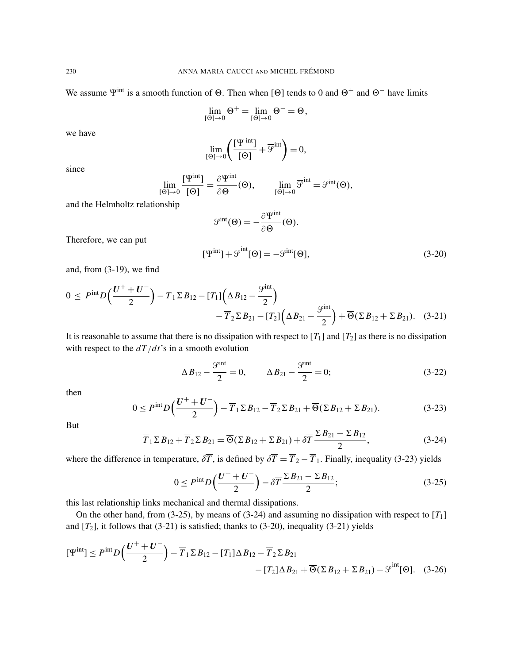We assume  $\Psi^{\text{int}}$  is a smooth function of  $\Theta$ . Then when [ $\Theta$ ] tends to 0 and  $\Theta^+$  and  $\Theta^-$  have limits

$$
\lim_{[\Theta]\rightarrow 0}\Theta^+=\lim_{[\Theta]\rightarrow 0}\Theta^-=\Theta,
$$

we have

$$
\lim_{\{\Theta\} \to 0} \left( \frac{[\Psi^{\text{ int}}]}{[\Theta]} + \overline{\mathcal{F}}^{\text{ int}} \right) = 0,
$$

since

$$
\lim_{\{\Theta\} \to 0} \frac{[\Psi^{\text{int}}]}{[\Theta]} = \frac{\partial \Psi^{\text{int}}}{\partial \Theta}(\Theta), \qquad \lim_{\{\Theta\} \to 0} \overline{\mathcal{G}}^{\text{int}} = \mathcal{G}^{\text{int}}(\Theta),
$$

and the Helmholtz relationship

$$
\mathcal{G}^{\text{int}}(\Theta) = -\frac{\partial \Psi^{\text{int}}}{\partial \Theta}(\Theta).
$$

Therefore, we can put

$$
[\Psi^{\text{int}}] + \overline{\mathcal{G}}^{\text{int}}[\Theta] = -\mathcal{G}^{\text{int}}[\Theta],\tag{3-20}
$$

and, from (3-19), we find

$$
0 \le P^{\text{int}} D\left(\frac{U^+ + U^-}{2}\right) - \overline{T}_1 \Sigma B_{12} - [T_1] \left(\Delta B_{12} - \frac{\mathcal{G}^{\text{int}}}{2}\right) - \overline{T}_2 \Sigma B_{21} - [T_2] \left(\Delta B_{21} - \frac{\mathcal{G}^{\text{int}}}{2}\right) + \overline{\Theta}(\Sigma B_{12} + \Sigma B_{21}). \quad (3-21)
$$

It is reasonable to assume that there is no dissipation with respect to  $[T_1]$  and  $[T_2]$  as there is no dissipation with respect to the *dT*/*dt*'s in a smooth evolution

$$
\Delta B_{12} - \frac{\mathcal{G}^{\text{int}}}{2} = 0, \qquad \Delta B_{21} - \frac{\mathcal{G}^{\text{int}}}{2} = 0; \tag{3-22}
$$

then

$$
0 \le P^{\text{int}} D\left(\frac{U^+ + U^-}{2}\right) - \overline{T}_1 \Sigma B_{12} - \overline{T}_2 \Sigma B_{21} + \overline{\Theta}(\Sigma B_{12} + \Sigma B_{21}). \tag{3-23}
$$

But

$$
\overline{T}_1 \Sigma B_{12} + \overline{T}_2 \Sigma B_{21} = \overline{\Theta}(\Sigma B_{12} + \Sigma B_{21}) + \delta \overline{T} \frac{\Sigma B_{21} - \Sigma B_{12}}{2},
$$
\n(3-24)

where the difference in temperature,  $\delta \overline{T}$ , is defined by  $\delta \overline{T} = \overline{T}_2 - \overline{T}_1$ . Finally, inequality (3-23) yields

$$
0 \le P^{\rm int} D\left(\frac{U^+ + U^-}{2}\right) - \delta \overline{T} \frac{\Sigma B_{21} - \Sigma B_{12}}{2};\tag{3-25}
$$

this last relationship links mechanical and thermal dissipations.

On the other hand, from  $(3-25)$ , by means of  $(3-24)$  and assuming no dissipation with respect to  $[T_1]$ and  $[T_2]$ , it follows that  $(3-21)$  is satisfied; thanks to  $(3-20)$ , inequality  $(3-21)$  yields

$$
[\Psi^{\text{int}}] \le P^{\text{int}} D\left(\frac{U^+ + U^-}{2}\right) - \overline{T}_1 \Sigma B_{12} - [T_1] \Delta B_{12} - \overline{T}_2 \Sigma B_{21} - [T_2] \Delta B_{21} + \overline{\Theta} (\Sigma B_{12} + \Sigma B_{21}) - \overline{\mathcal{G}}^{\text{int}} [\Theta]. \quad (3-26)
$$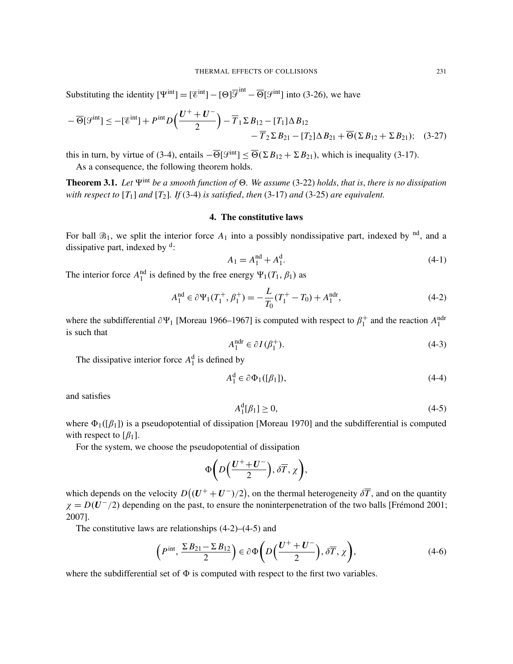Substituting the identity  $[\Psi^{\text{int}}] = [\mathcal{E}^{\text{int}}] - [\Theta] \overline{\mathcal{F}}^{\text{int}} - \overline{\Theta}[\mathcal{F}^{\text{int}}]$  into (3-26), we have

$$
-\overline{\Theta}[\mathcal{G}^{\text{int}}] \le -[\mathcal{E}^{\text{int}}] + P^{\text{int}}D\left(\frac{U^+ + U^-}{2}\right) - \overline{T}_1 \Sigma B_{12} - [T_1] \Delta B_{12} - \overline{T}_2 \Sigma B_{21} - [T_2] \Delta B_{21} + \overline{\Theta}(\Sigma B_{12} + \Sigma B_{21}); \quad (3-27)
$$

this in turn, by virtue of (3-4), entails  $-\overline{\Theta}[\mathcal{G}^{\text{int}}] \leq \overline{\Theta}(\Sigma B_{12} + \Sigma B_{21})$ , which is inequality (3-17).

As a consequence, the following theorem holds.

Theorem 3.1. Let  $\Psi^{\text{int}}$  *be a smooth function of*  $\Theta$ . We assume (3-22) *holds*, *that is, there is no dissipation with respect to* [*T*1] *and* [*T*2]*. If* (3-4) *is satisfied*, *then* (3-17) *and* (3-25) *are equivalent.*

#### 4. The constitutive laws

For ball  $\mathcal{B}_1$ , we split the interior force  $A_1$  into a possibly nondissipative part, indexed by <sup>nd</sup>, and a dissipative part, indexed by <sup>d</sup>:

$$
A_1 = A_1^{\text{nd}} + A_1^{\text{d}}.\tag{4-1}
$$

The interior force  $A_1^{\text{nd}}$  is defined by the free energy  $\Psi_1(T_1, \beta_1)$  as

$$
A_1^{\text{nd}} \in \partial \Psi_1(T_1^+, \beta_1^+) = -\frac{L}{T_0}(T_1^+ - T_0) + A_1^{\text{ndr}},\tag{4-2}
$$

where the subdifferential  $\partial \Psi_1$  [Moreau 1966–1967] is computed with respect to  $\beta_1^+$  $_1^+$  and the reaction  $A_1^{\text{ndr}}$ is such that

$$
A_1^{\text{ndr}} \in \partial I(\beta_1^+). \tag{4-3}
$$

The dissipative interior force  $A_1^d$  is defined by

$$
A_1^d \in \partial \Phi_1([\beta_1]), \tag{4-4}
$$

and satisfies

$$
A_1^d[\beta_1] \ge 0,\tag{4-5}
$$

where  $\Phi_1([\beta_1])$  is a pseudopotential of dissipation [Moreau 1970] and the subdifferential is computed with respect to  $\lceil \beta_1 \rceil$ .

For the system, we choose the pseudopotential of dissipation

$$
\Phi\bigg(D\Big(\frac{U^+ + U^-}{2}\Big), \delta\overline{T}, \chi\bigg),\,
$$

which depends on the velocity  $D((U^+ + U^-)/2)$ , on the thermal heterogeneity  $\delta \overline{T}$ , and on the quantity  $\chi = D(U^-/2)$  depending on the past, to ensure the noninterpenetration of the two balls [Frémond 2001; 2007].

The constitutive laws are relationships  $(4-2)$ – $(4-5)$  and

$$
\left(P^{\text{int}}, \frac{\Sigma B_{21} - \Sigma B_{12}}{2}\right) \in \partial \Phi \left(D\left(\frac{U^+ + U^-}{2}\right), \delta \overline{T}, \chi\right),\tag{4-6}
$$

where the subdifferential set of  $\Phi$  is computed with respect to the first two variables.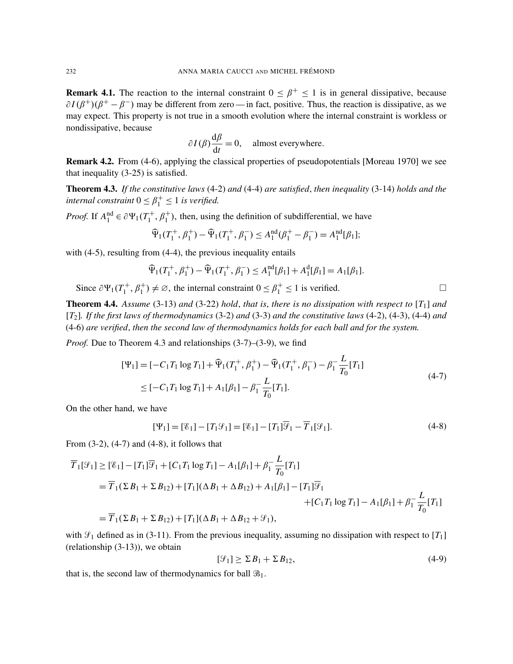**Remark 4.1.** The reaction to the internal constraint  $0 \leq \beta^+ \leq 1$  is in general dissipative, because  $\partial I(\beta^+)(\beta^+ - \beta^-)$  may be different from zero — in fact, positive. Thus, the reaction is dissipative, as we may expect. This property is not true in a smooth evolution where the internal constraint is workless or nondissipative, because

$$
\partial I(\beta) \frac{d\beta}{dt} = 0
$$
, almost everywhere.

Remark 4.2. From (4-6), applying the classical properties of pseudopotentials [Moreau 1970] we see that inequality (3-25) is satisfied.

Theorem 4.3. *If the constitutive laws* (4-2) *and* (4-4) *are satisfied*, *then inequality* (3-14) *holds and the internal constraint*  $0 \leq \beta_1^+ \leq 1$  *is verified.* 

*Proof.* If  $A_1^{\text{nd}} \in \partial \Psi_1(T_1^+)$  $t_1^+, \beta_1^+$ , then, using the definition of subdifferential, we have

$$
\widehat{\Psi}_1(T_1^+,\beta_1^+) - \widehat{\Psi}_1(T_1^+,\beta_1^-) \le A_1^{\text{nd}}(\beta_1^+ - \beta_1^-) = A_1^{\text{nd}}[\beta_1];
$$

with (4-5), resulting from (4-4), the previous inequality entails

$$
\widehat{\Psi}_1(T_1^+,\beta_1^+) - \widehat{\Psi}_1(T_1^+,\beta_1^-) \le A_1^{\text{nd}}[\beta_1] + A_1^{\text{d}}[\beta_1] = A_1[\beta_1].
$$

Since  $\partial \Psi_1(T_1^+)$  $(1, \beta_1^+), \beta_1^+) \neq \emptyset$ , the internal constraint  $0 \leq \beta_1^+ \leq 1$  is verified.

Theorem 4.4. *Assume* (3-13) *and* (3-22) *hold*, *that is*, *there is no dissipation with respect to* [*T*1] *and* [*T*2]*. If the first laws of thermodynamics* (3-2) *and* (3-3) *and the constitutive laws* (4-2), (4-3), (4-4) *and* (4-6) *are verified*, *then the second law of thermodynamics holds for each ball and for the system.*

*Proof.* Due to Theorem 4.3 and relationships (3-7)–(3-9), we find

$$
[\Psi_1] = [-C_1 T_1 \log T_1] + \widehat{\Psi}_1(T_1^+, \beta_1^+) - \widehat{\Psi}_1(T_1^+, \beta_1^-) - \beta_1^- \frac{L}{T_0} [T_1]
$$
  
\n
$$
\leq [-C_1 T_1 \log T_1] + A_1 [\beta_1] - \beta_1^- \frac{L}{T_0} [T_1].
$$
\n(4-7)

On the other hand, we have

$$
[\Psi_1] = [\mathscr{E}_1] - [T_1 \mathscr{G}_1] = [\mathscr{E}_1] - [T_1] \overline{\mathscr{G}}_1 - \overline{T}_1 [\mathscr{G}_1].
$$
\n(4-8)

From (3-2), (4-7) and (4-8), it follows that

$$
\overline{T}_1[\mathcal{G}_1] \geq [\mathcal{E}_1] - [T_1]\overline{\mathcal{G}}_1 + [C_1T_1 \log T_1] - A_1[\beta_1] + \beta_1^{-1} \frac{L}{T_0}[T_1]
$$
\n
$$
= \overline{T}_1(\Sigma B_1 + \Sigma B_{12}) + [T_1](\Delta B_1 + \Delta B_{12}) + A_1[\beta_1] - [T_1]\overline{\mathcal{G}}_1 + [C_1T_1 \log T_1] - A_1[\beta_1] + \beta_1^{-1} \frac{L}{T_0}[T_1]
$$
\n
$$
= \overline{T}_1(\Sigma B_1 + \Sigma B_{12}) + [T_1](\Delta B_1 + \Delta B_{12} + \mathcal{G}_1),
$$

with  $\mathcal{G}_1$  defined as in (3-11). From the previous inequality, assuming no dissipation with respect to [ $T_1$ ] (relationship (3-13)), we obtain

$$
[\mathcal{G}_1] \ge \Sigma B_1 + \Sigma B_{12},\tag{4-9}
$$

that is, the second law of thermodynamics for ball  $\mathfrak{B}_1$ .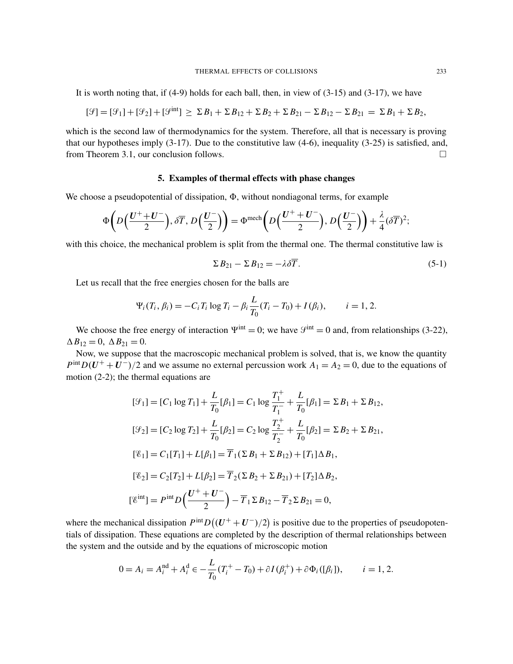It is worth noting that, if (4-9) holds for each ball, then, in view of (3-15) and (3-17), we have

$$
[\mathcal{G}] = [\mathcal{G}_1] + [\mathcal{G}_2] + [\mathcal{G}^{\text{int}}] \geq \Sigma B_1 + \Sigma B_{12} + \Sigma B_2 + \Sigma B_{21} - \Sigma B_{12} - \Sigma B_{21} = \Sigma B_1 + \Sigma B_2,
$$

which is the second law of thermodynamics for the system. Therefore, all that is necessary is proving that our hypotheses imply (3-17). Due to the constitutive law (4-6), inequality (3-25) is satisfied, and, from Theorem 3.1, our conclusion follows.

#### 5. Examples of thermal effects with phase changes

We choose a pseudopotential of dissipation,  $\Phi$ , without nondiagonal terms, for example

$$
\Phi\left(D\left(\frac{U^+ + U^-}{2}\right), \, \delta\overline{T}, \, D\left(\frac{U^-}{2}\right)\right) = \Phi^{\text{mech}}\left(D\left(\frac{U^+ + U^-}{2}\right), \, D\left(\frac{U^-}{2}\right)\right) + \frac{\lambda}{4}(\delta\overline{T})^2;
$$

with this choice, the mechanical problem is split from the thermal one. The thermal constitutive law is

$$
\Sigma B_{21} - \Sigma B_{12} = -\lambda \delta \overline{T}.
$$
\n(5-1)

Let us recall that the free energies chosen for the balls are

$$
\Psi_i(T_i, \beta_i) = -C_i T_i \log T_i - \beta_i \frac{L}{T_0} (T_i - T_0) + I(\beta_i), \qquad i = 1, 2.
$$

We choose the free energy of interaction  $\Psi^{\text{int}} = 0$ ; we have  $\mathcal{S}^{\text{int}} = 0$  and, from relationships (3-22),  $\Delta B_{12} = 0$ ,  $\Delta B_{21} = 0$ .

Now, we suppose that the macroscopic mechanical problem is solved, that is, we know the quantity  $P^{\text{int}}D(U^+ + U^-)/2$  and we assume no external percussion work  $A_1 = A_2 = 0$ , due to the equations of motion (2-2); the thermal equations are

$$
[\mathcal{G}_1] = [C_1 \log T_1] + \frac{L}{T_0} [\beta_1] = C_1 \log \frac{T_1^+}{T_1^-} + \frac{L}{T_0} [\beta_1] = \Sigma B_1 + \Sigma B_{12},
$$
  
\n
$$
[\mathcal{G}_2] = [C_2 \log T_2] + \frac{L}{T_0} [\beta_2] = C_2 \log \frac{T_2^+}{T_2^-} + \frac{L}{T_0} [\beta_2] = \Sigma B_2 + \Sigma B_{21},
$$
  
\n
$$
[\mathcal{E}_1] = C_1 [T_1] + L[\beta_1] = \overline{T}_1 (\Sigma B_1 + \Sigma B_{12}) + [T_1] \Delta B_1,
$$
  
\n
$$
[\mathcal{E}_2] = C_2 [T_2] + L[\beta_2] = \overline{T}_2 (\Sigma B_2 + \Sigma B_{21}) + [T_2] \Delta B_2,
$$
  
\n
$$
[\mathcal{E}^{\text{int}}] = P^{\text{int}} D \Big( \frac{U^+ + U^-}{2} \Big) - \overline{T}_1 \Sigma B_{12} - \overline{T}_2 \Sigma B_{21} = 0,
$$

where the mechanical dissipation  $P^{\text{int}}D((U^+ + U^-)/2)$  is positive due to the properties of pseudopotentials of dissipation. These equations are completed by the description of thermal relationships between the system and the outside and by the equations of microscopic motion

$$
0 = A_i = A_i^{\text{nd}} + A_i^{\text{d}} \in -\frac{L}{T_0}(T_i^+ - T_0) + \partial I(\beta_i^+) + \partial \Phi_i([\beta_i]), \qquad i = 1, 2.
$$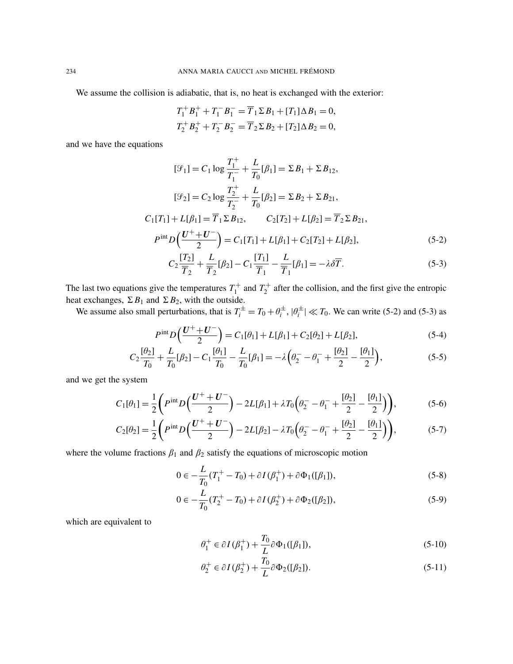We assume the collision is adiabatic, that is, no heat is exchanged with the exterior:

$$
T_1^+ B_1^+ + T_1^- B_1^- = \overline{T}_1 \Sigma B_1 + [T_1] \Delta B_1 = 0,
$$
  
\n
$$
T_2^+ B_2^+ + T_2^- B_2^- = \overline{T}_2 \Sigma B_2 + [T_2] \Delta B_2 = 0,
$$

and we have the equations

$$
[\mathcal{G}_1] = C_1 \log \frac{T_1^+}{T_1^-} + \frac{L}{T_0} [\beta_1] = \Sigma B_1 + \Sigma B_{12},
$$
  
\n
$$
[\mathcal{G}_2] = C_2 \log \frac{T_2^+}{T_2^-} + \frac{L}{T_0} [\beta_2] = \Sigma B_2 + \Sigma B_{21},
$$
  
\n
$$
C_1[T_1] + L[\beta_1] = \overline{T}_1 \Sigma B_{12}, \qquad C_2[T_2] + L[\beta_2] = \overline{T}_2 \Sigma B_{21},
$$
  
\n
$$
P^{\text{int}} D\left(\frac{U^+ + U^-}{2}\right) = C_1[T_1] + L[\beta_1] + C_2[T_2] + L[\beta_2],
$$
  
\n
$$
C\left[\frac{T_2}{2}\right] = \frac{L}{L} [\beta_1] = C\left[\frac{T_1}{2}\right] = \frac{L}{L} [\beta_2] = \frac{2}{\sqrt{T}} \tag{5.2}
$$

$$
C_2 \frac{[T_2]}{\overline{T}_2} + \frac{L}{\overline{T}_2} [\beta_2] - C_1 \frac{[T_1]}{\overline{T}_1} - \frac{L}{\overline{T}_1} [\beta_1] = -\lambda \delta \overline{T}.
$$
 (5-3)

The last two equations give the temperatures  $T_1^+$  $T_1^+$  and  $T_2^+$  $i_2^+$  after the collision, and the first give the entropic heat exchanges,  $\Sigma B_1$  and  $\Sigma B_2$ , with the outside.

We assume also small perturbations, that is  $T_i^{\pm} = T_0 + \theta_i^{\pm}$  $\theta_i^{\pm}$ ,  $|\theta_i^{\pm}$  $|I_i^{\pm}| \ll T_0$ . We can write (5-2) and (5-3) as

$$
P^{\text{int}}D\left(\frac{U^+ + U^-}{2}\right) = C_1[\theta_1] + L[\beta_1] + C_2[\theta_2] + L[\beta_2],\tag{5-4}
$$

$$
C_2 \frac{[\theta_2]}{T_0} + \frac{L}{T_0} [\beta_2] - C_1 \frac{[\theta_1]}{T_0} - \frac{L}{T_0} [\beta_1] = -\lambda \left(\theta_2 - \theta_1 + \frac{[\theta_2]}{2} - \frac{[\theta_1]}{2}\right),\tag{5-5}
$$

and we get the system

$$
C_1[\theta_1] = \frac{1}{2} \left( P^{\text{int}} D \left( \frac{U^+ + U^-}{2} \right) - 2L[\beta_1] + \lambda T_0 \left( \theta_2^- - \theta_1^- + \frac{[\theta_2]}{2} - \frac{[\theta_1]}{2} \right) \right),\tag{5-6}
$$

$$
C_2[\theta_2] = \frac{1}{2} \left( P^{\text{int}} D \left( \frac{U^+ + U^-}{2} \right) - 2L[\beta_2] - \lambda T_0 \left( \theta_2^- - \theta_1^- + \frac{[\theta_2]}{2} - \frac{[\theta_1]}{2} \right) \right), \tag{5-7}
$$

where the volume fractions  $\beta_1$  and  $\beta_2$  satisfy the equations of microscopic motion

$$
0 \in -\frac{L}{T_0}(T_1^+ - T_0) + \partial I(\beta_1^+) + \partial \Phi_1([\beta_1]), \tag{5-8}
$$

$$
0 \in -\frac{L}{T_0}(T_2^+ - T_0) + \partial I(\beta_2^+) + \partial \Phi_2([\beta_2]),\tag{5-9}
$$

which are equivalent to

$$
\theta_1^+ \in \partial I(\beta_1^+) + \frac{T_0}{L} \partial \Phi_1([\beta_1]), \tag{5-10}
$$

$$
\theta_2^+ \in \partial I(\beta_2^+) + \frac{T_0}{L} \partial \Phi_2([\beta_2]). \tag{5-11}
$$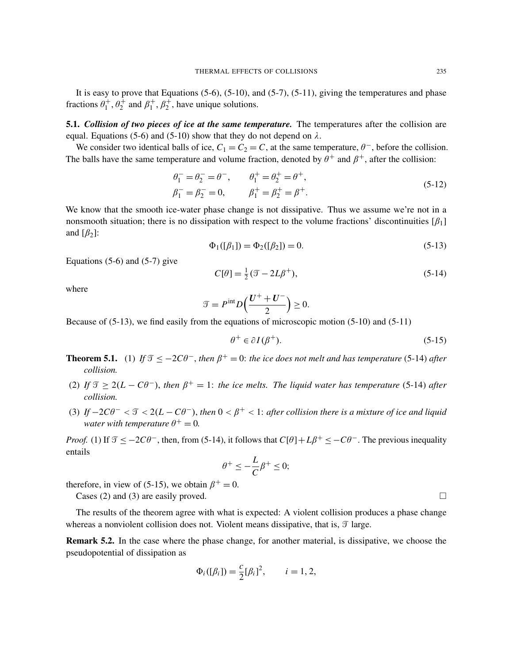It is easy to prove that Equations  $(5-6)$ ,  $(5-10)$ , and  $(5-7)$ ,  $(5-11)$ , giving the temperatures and phase fractions  $\theta_1^+$  $\theta_1^+$ ,  $\theta_2^+$  and  $\beta_1^+$  $_1^+$ ,  $\beta_2^+$ , have unique solutions.

5.1. *Collision of two pieces of ice at the same temperature.* The temperatures after the collision are equal. Equations (5-6) and (5-10) show that they do not depend on  $\lambda$ .

We consider two identical balls of ice,  $C_1 = C_2 = C$ , at the same temperature,  $\theta^-$ , before the collision. The balls have the same temperature and volume fraction, denoted by  $\theta^+$  and  $\beta^+$ , after the collision:

$$
\begin{aligned}\n\theta_1^- &= \theta_2^- = \theta^-, & \theta_1^+ &= \theta_2^+ = \theta^+, \\
\beta_1^- &= \beta_2^- = 0, & \beta_1^+ &= \beta_2^+ = \beta^+. \n\end{aligned} \n(5-12)
$$

We know that the smooth ice-water phase change is not dissipative. Thus we assume we're not in a nonsmooth situation; there is no dissipation with respect to the volume fractions' discontinuities  $[\beta_1]$ and  $[\beta_2]$ :

$$
\Phi_1([\beta_1]) = \Phi_2([\beta_2]) = 0. \tag{5-13}
$$

Equations  $(5-6)$  and  $(5-7)$  give

$$
C[\theta] = \frac{1}{2}(\mathcal{T} - 2L\beta^+),\tag{5-14}
$$

where

$$
\mathcal{T} = P^{\text{int}} D\left(\frac{U^+ + U^-}{2}\right) \ge 0.
$$

Because of (5-13), we find easily from the equations of microscopic motion (5-10) and (5-11)

$$
\theta^+ \in \partial I(\beta^+). \tag{5-15}
$$

- **Theorem 5.1.** (1) If  $\mathcal{T} \le -2C\theta^{-}$ , then  $\beta^{+} = 0$ : the ice does not melt and has temperature (5-14) after *collision.*
- (2) If  $\mathcal{T} \geq 2(L C\theta^{-})$ , then  $\beta^{+} = 1$ : the ice melts. The liquid water has temperature (5-14) after *collision.*
- (3) If  $-2C\theta^- < \mathcal{T} < 2(L C\theta^-)$ , then  $0 < \beta^+ < 1$ : after collision there is a mixture of ice and liquid *water with temperature*  $\theta^+ = 0$ .

*Proof.* (1) If  $\mathcal{I} \le -2C\theta^-$ , then, from (5-14), it follows that  $C[\theta]+L\beta^+ \le -C\theta^-$ . The previous inequality entails

$$
\theta^+ \le -\frac{L}{C}\beta^+ \le 0;
$$

therefore, in view of (5-15), we obtain  $\beta^+ = 0$ .

Cases (2) and (3) are easily proved.  $\square$ 

The results of the theorem agree with what is expected: A violent collision produces a phase change whereas a nonviolent collision does not. Violent means dissipative, that is,  $\mathcal{T}$  large.

Remark 5.2. In the case where the phase change, for another material, is dissipative, we choose the pseudopotential of dissipation as

$$
\Phi_i([\beta_i]) = \frac{c}{2} [\beta_i]^2, \qquad i = 1, 2,
$$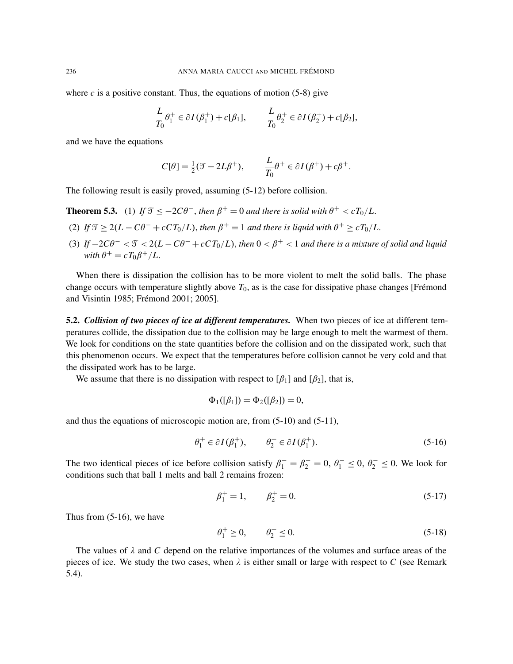where  $c$  is a positive constant. Thus, the equations of motion (5-8) give

$$
\frac{L}{T_0}\theta_1^+ \in \partial I(\beta_1^+) + c[\beta_1], \qquad \frac{L}{T_0}\theta_2^+ \in \partial I(\beta_2^+) + c[\beta_2],
$$

and we have the equations

$$
C[\theta] = \frac{1}{2}(\mathcal{T} - 2L\beta^+), \qquad \frac{L}{T_0}\theta^+ \in \partial I(\beta^+) + c\beta^+.
$$

The following result is easily proved, assuming (5-12) before collision.

**Theorem 5.3.** (1) *If*  $\mathcal{T} \le -2C\theta^-$ , *then*  $\beta^+ = 0$  *and there is solid with*  $\theta^+ < cT_0/L$ .

- (2) If  $\mathcal{T} \geq 2(L C\theta^- + cCT_0/L)$ , then  $\beta^+ = 1$  and there is liquid with  $\theta^+ \geq cT_0/L$ .
- (3) If  $-2C\theta^- < \mathcal{T} < 2(L C\theta^- + cCT_0/L)$ , then  $0 < \beta^+ < 1$  and there is a mixture of solid and liquid  $with \theta^+ = cT_0\beta^+/L.$

When there is dissipation the collision has to be more violent to melt the solid balls. The phase change occurs with temperature slightly above  $T_0$ , as is the case for dissipative phase changes [Frémond and Visintin 1985; Frémond 2001; 2005].

5.2. *Collision of two pieces of ice at different temperatures.* When two pieces of ice at different temperatures collide, the dissipation due to the collision may be large enough to melt the warmest of them. We look for conditions on the state quantities before the collision and on the dissipated work, such that this phenomenon occurs. We expect that the temperatures before collision cannot be very cold and that the dissipated work has to be large.

We assume that there is no dissipation with respect to  $\lceil \beta_1 \rceil$  and  $\lceil \beta_2 \rceil$ , that is,

$$
\Phi_1([\beta_1]) = \Phi_2([\beta_2]) = 0,
$$

and thus the equations of microscopic motion are, from (5-10) and (5-11),

$$
\theta_1^+ \in \partial I(\beta_1^+), \qquad \theta_2^+ \in \partial I(\beta_1^+). \tag{5-16}
$$

The two identical pieces of ice before collision satisfy  $\beta_1^- = \beta_2^- = 0$ ,  $\theta_1^- \le 0$ ,  $\theta_2^- \le 0$ . We look for conditions such that ball 1 melts and ball 2 remains frozen:

$$
\beta_1^+ = 1, \qquad \beta_2^+ = 0. \tag{5-17}
$$

Thus from (5-16), we have

$$
\theta_1^+ \ge 0, \qquad \theta_2^+ \le 0. \tag{5-18}
$$

The values of  $\lambda$  and  $C$  depend on the relative importances of the volumes and surface areas of the pieces of ice. We study the two cases, when  $\lambda$  is either small or large with respect to C (see Remark 5.4).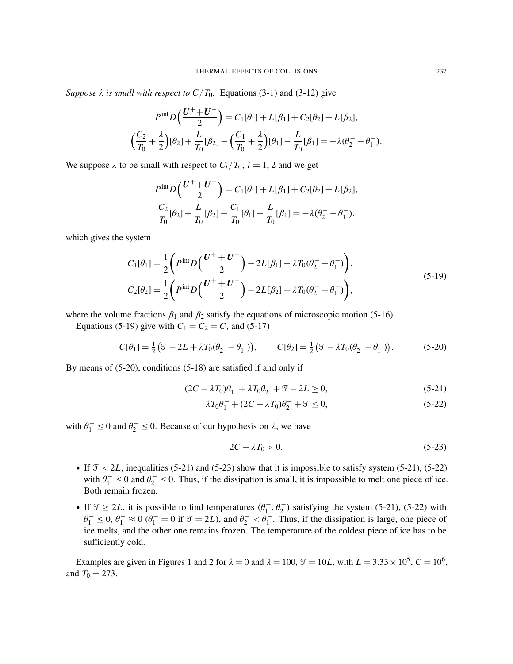*Suppose*  $\lambda$  *is small with respect to C/T*<sub>0</sub>*.* Equations (3-1) and (3-12) give

$$
P^{\text{int}}D\left(\frac{U^+ + U^-}{2}\right) = C_1[\theta_1] + L[\beta_1] + C_2[\theta_2] + L[\beta_2],
$$
  

$$
\left(\frac{C_2}{T_0} + \frac{\lambda}{2}\right)[\theta_2] + \frac{L}{T_0}[\beta_2] - \left(\frac{C_1}{T_0} + \frac{\lambda}{2}\right)[\theta_1] - \frac{L}{T_0}[\beta_1] = -\lambda(\theta_2^- - \theta_1^-).
$$

We suppose  $\lambda$  to be small with respect to  $C_i/T_0$ ,  $i = 1, 2$  and we get

$$
P^{\text{int}}D\left(\frac{U^+ + U^-}{2}\right) = C_1[\theta_1] + L[\beta_1] + C_2[\theta_2] + L[\beta_2],
$$
  

$$
\frac{C_2}{T_0}[\theta_2] + \frac{L}{T_0}[\beta_2] - \frac{C_1}{T_0}[\theta_1] - \frac{L}{T_0}[\beta_1] = -\lambda(\theta_2 - \theta_1^-),
$$

which gives the system

$$
C_1[\theta_1] = \frac{1}{2} \left( P^{\text{int}} D \left( \frac{U^+ + U^-}{2} \right) - 2L[\beta_1] + \lambda T_0(\theta_2^- - \theta_1^-) \right),
$$
  
\n
$$
C_2[\theta_2] = \frac{1}{2} \left( P^{\text{int}} D \left( \frac{U^+ + U^-}{2} \right) - 2L[\beta_2] - \lambda T_0(\theta_2^- - \theta_1^-) \right),
$$
\n(5-19)

where the volume fractions  $\beta_1$  and  $\beta_2$  satisfy the equations of microscopic motion (5-16).

Equations (5-19) give with  $C_1 = C_2 = C$ , and (5-17)

$$
C[\theta_1] = \frac{1}{2} (\mathcal{T} - 2L + \lambda T_0 (\theta_2^- - \theta_1^-)), \qquad C[\theta_2] = \frac{1}{2} (\mathcal{T} - \lambda T_0 (\theta_2^- - \theta_1^-)). \tag{5-20}
$$

By means of (5-20), conditions (5-18) are satisfied if and only if

$$
(2C - \lambda T_0)\theta_1^- + \lambda T_0 \theta_2^- + \mathcal{T} - 2L \ge 0,
$$
\n(5-21)

$$
\lambda T_0 \theta_1^- + (2C - \lambda T_0)\theta_2^- + \mathcal{T} \le 0,\tag{5-22}
$$

with  $\theta_1^- \le 0$  and  $\theta_2^- \le 0$ . Because of our hypothesis on  $\lambda$ , we have

$$
2C - \lambda T_0 > 0. \tag{5-23}
$$

- If  $\mathcal{T} < 2L$ , inequalities (5-21) and (5-23) show that it is impossible to satisfy system (5-21), (5-22) with  $\theta_1^- \le 0$  and  $\theta_2^- \le 0$ . Thus, if the dissipation is small, it is impossible to melt one piece of ice. Both remain frozen.
- If  $\mathcal{T} \geq 2L$ , it is possible to find temperatures  $(\theta_1^-, \theta_2^-)$  satisfying the system (5-21), (5-22) with  $\theta_1^- \leq 0$ ,  $\theta_1^- \approx 0$  ( $\theta_1^- = 0$  if  $\mathcal{T} = 2L$ ), and  $\theta_2^- < \theta_1^-$ . Thus, if the dissipation is large, one piece of ice melts, and the other one remains frozen. The temperature of the coldest piece of ice has to be sufficiently cold.

Examples are given in Figures 1 and 2 for  $\lambda = 0$  and  $\lambda = 100$ ,  $\mathcal{T} = 10L$ , with  $L = 3.33 \times 10^5$ ,  $C = 10^6$ , and  $T_0 = 273$ .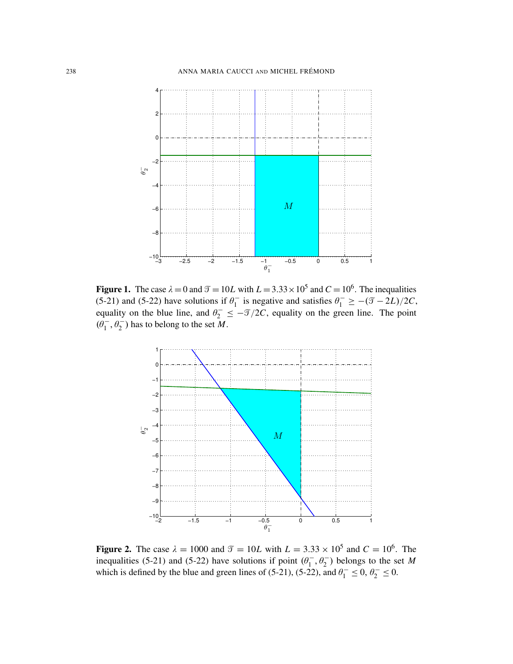

**Figure 1.** The case  $\lambda = 0$  and  $\mathcal{T} = 10L$  with  $L = 3.33 \times 10^5$  and  $C = 10^6$ . The inequalities (5.21) and (5.22) have solutions if  $\theta^-$  is negative and satisfies  $\theta^- > -(\mathcal{T} - 2L)/2C$ **Figure 1.** The case  $\lambda = 0$  and  $\mathcal{T} = 10L$  with  $L = 3.33 \times 10^5$  and  $C = 10^6$ . The inequalities (5-21) and (5-22) have solutions if  $\theta_1^-$  is negative and satisfies  $\theta_1^- \geq -(\mathcal{I} - 2L)/2C$ , equality on the blue line, and  $\theta_2^- \leq -\mathcal{T}/2C$ , equality on the green line. The point (5-21) and (5-22) have solutions if  $\theta_1^-$  is negative and satisfies  $\theta_1^- \geq -(\mathcal{I} - 2L)/2C$ ,  $(\hat{\theta}_1^-, \hat{\theta}_2^-)$  has to belong to the set M.  $\begin{bmatrix} 0 & -2 \\ 0 & -1 \end{bmatrix}$ 



**Figure 2.** The case  $\lambda = 1000$  and  $\mathcal{T} = 10L$  with  $L = 3.33 \times 10^5$  and  $C = 10^6$ . The inequalities (5-21) and (5-22) have solutions if point  $(\theta_1^-, \theta_2^-)$  belongs to the set M which is defined by the blue and green lines of (5-21), (5-22), and  $\theta_1^- \le 0$ ,  $\theta_2^- \le 0$ . inequalities (5-21) and (5-22) have solutions if point  $(\theta_1^-, \theta_2^-)$  belongs to the set *M*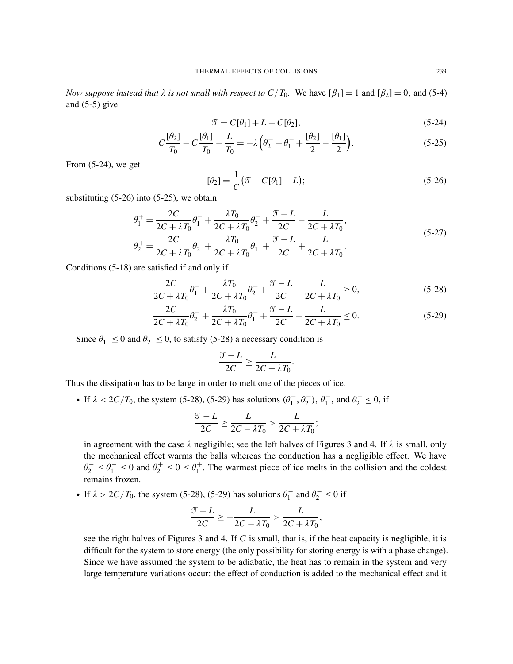*Now suppose instead that*  $\lambda$  *is not small with respect to*  $C/T_0$ . We have  $[\beta_1] = 1$  and  $[\beta_2] = 0$ , and (5-4) and  $(5-5)$  give

$$
\mathcal{T} = C[\theta_1] + L + C[\theta_2],\tag{5-24}
$$

$$
C\frac{[\theta_2]}{T_0} - C\frac{[\theta_1]}{T_0} - \frac{L}{T_0} = -\lambda \left(\theta_2 - \theta_1 - \frac{[\theta_2]}{2} - \frac{[\theta_1]}{2}\right).
$$
 (5-25)

From (5-24), we get

$$
[\theta_2] = \frac{1}{C} (\mathcal{T} - C[\theta_1] - L); \tag{5-26}
$$

substituting  $(5-26)$  into  $(5-25)$ , we obtain

$$
\theta_1^+ = \frac{2C}{2C + \lambda T_0} \theta_1^- + \frac{\lambda T_0}{2C + \lambda T_0} \theta_2^- + \frac{\mathcal{T} - L}{2C} - \frac{L}{2C + \lambda T_0},
$$
\n
$$
\theta_2^+ = \frac{2C}{2C + \lambda T_0} \theta_2^- + \frac{\lambda T_0}{2C + \lambda T_0} \theta_1^- + \frac{\mathcal{T} - L}{2C + \lambda T_0} + \frac{L}{2C + \lambda T_0}.
$$
\n(5-27)

Conditions (5-18) are satisfied if and only if

$$
\frac{2C}{2C + \lambda T_0} \theta_1^- + \frac{\lambda T_0}{2C + \lambda T_0} \theta_2^- + \frac{\mathcal{T} - L}{2C} - \frac{L}{2C + \lambda T_0} \ge 0,
$$
\n(5-28)

$$
\frac{2C}{2C + \lambda T_0} \theta_2^- + \frac{\lambda T_0}{2C + \lambda T_0} \theta_1^- + \frac{\mathcal{T} - L}{2C} + \frac{L}{2C + \lambda T_0} \le 0.
$$
 (5-29)

.

Since  $\theta_1^- \le 0$  and  $\theta_2^- \le 0$ , to satisfy (5-28) a necessary condition is

$$
\frac{\mathcal{T} - L}{2C} \ge \frac{L}{2C + \lambda T_0}
$$

Thus the dissipation has to be large in order to melt one of the pieces of ice.

• If  $\lambda < 2C/T_0$ , the system (5-28), (5-29) has solutions  $(\theta_1^-, \theta_2^-, \theta_1^-, \text{ and } \theta_2^- \le 0$ , if

$$
\frac{\mathcal{T} - L}{2C} \ge \frac{L}{2C - \lambda T_0} > \frac{L}{2C + \lambda T_0};
$$

in agreement with the case  $\lambda$  negligible; see the left halves of Figures 3 and 4. If  $\lambda$  is small, only the mechanical effect warms the balls whereas the conduction has a negligible effect. We have  $\theta_2^- \le \theta_1^- \le 0$  and  $\theta_2^+ \le 0 \le \theta_1^+$  $1<sup>+</sup>$ . The warmest piece of ice melts in the collision and the coldest remains frozen.

• If  $\lambda > 2C/T_0$ , the system (5-28), (5-29) has solutions  $\theta_1^ \theta_1^-$  and  $\theta_2^- \leq 0$  if

$$
\frac{\mathcal{T} - L}{2C} \ge -\frac{L}{2C - \lambda T_0} > \frac{L}{2C + \lambda T_0},
$$

see the right halves of Figures 3 and 4. If *C* is small, that is, if the heat capacity is negligible, it is difficult for the system to store energy (the only possibility for storing energy is with a phase change). Since we have assumed the system to be adiabatic, the heat has to remain in the system and very large temperature variations occur: the effect of conduction is added to the mechanical effect and it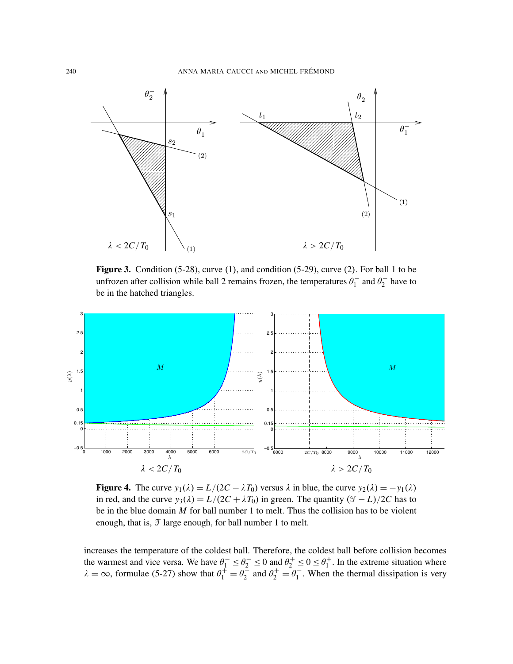

unfrozen after collision while ball 2 remains frozen, the temperatures  $\theta_1^-$  and  $\theta_2^-$  have to be in the hatched triangles. **Figure 3.** Condition  $(5-28)$ , curve  $(1)$ , and condition  $(5-29)$ , curve  $(2)$ . For ball 1 to be  $\theta_1^-$  and  $\theta_2^$ rozen, the temperatures  $\theta_1^-$  and  $\theta_2^-$  have to



**Figure 4.** The curve  $y_1(\lambda) = L/(2C - \lambda T_0)$  versus  $\lambda$  in blue, the curve  $y_2(\lambda) = -y_1(\lambda)$ in red, and the curve  $y_3(\lambda) = L/(2C + \lambda T_0)$  in green. The quantity  $(\mathcal{T} - L)/2C$  has to be in the blue domain  $M$  for ball number 1 to melt. Thus the collision has to be violent enough, that is,  $\mathcal{T}$  large enough, for ball number 1 to melt.

increases the temperature of the coldest ball. Therefore, the coldest ball before collision becomes tes the temperature of the coldest ball. Therefore, the coldest ball before collision becomes the versa. We have  $v_1 \le v_2 \le v$  and  $v_2$ the temperature of the coldest ball. Therefore, the coldest ball before collision because  $\frac{1}{2}$ becomes the warmest and vice versa. We have  $\theta_1 \ge \theta_2 \ge 0$  and  $\theta_2 \ge 0$ <br>  $\lambda = \infty$ , formulae (5-27) show that  $\theta_1^+ = \theta_2^-$  and  $\theta_2^+ = \theta_1^$ the warmest and vice versa. We have  $\theta_1^- \le \theta_2^- \le 0$  and  $\theta_2^+ \le 0 \le \theta_1^+$  $1<sup>+</sup>$ . In the extreme situation where  $\lambda = \infty$ , formulae (5-27) show that  $\theta_1^+ = \theta_2^ \frac{1}{2}$  and  $\theta_2^+ = \theta_1^ 1<sub>1</sub>$ . When the thermal dissipation is very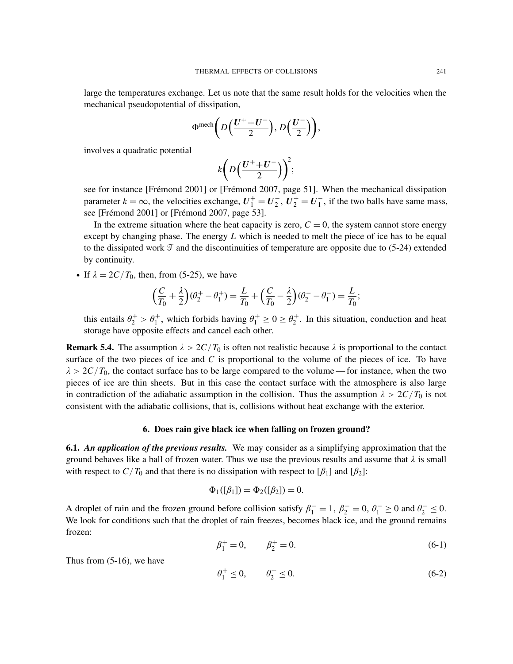large the temperatures exchange. Let us note that the same result holds for the velocities when the mechanical pseudopotential of dissipation,

$$
\Phi^{\text{mech}}\bigg(D\Big(\frac{U^+ + U^-}{2}\Big), D\Big(\frac{U^-}{2}\Big)\bigg),\,
$$

involves a quadratic potential

$$
k\bigg(D\Big(\frac{U^+ + U^-}{2}\Big)\bigg)^2;
$$

see for instance [Frémond 2001] or [Frémond 2007, page 51]. When the mechanical dissipation parameter  $k = \infty$ , the velocities exchange,  $U_1^+ = U_2^ \overline{u}_2^{\text{+}}, \, \overline{u}_2^{\text{+}} = \overline{u}_1^{\text{-}}$  $\frac{1}{1}$ , if the two balls have same mass, see [Frémond 2001] or [Frémond 2007, page 53].

In the extreme situation where the heat capacity is zero,  $C = 0$ , the system cannot store energy except by changing phase. The energy *L* which is needed to melt the piece of ice has to be equal to the dissipated work  $\mathcal T$  and the discontinuities of temperature are opposite due to (5-24) extended by continuity.

• If  $\lambda = 2C/T_0$ , then, from (5-25), we have

$$
\left(\frac{C}{T_0} + \frac{\lambda}{2}\right)(\theta_2^+ - \theta_1^+) = \frac{L}{T_0} + \left(\frac{C}{T_0} - \frac{\lambda}{2}\right)(\theta_2^- - \theta_1^-) = \frac{L}{T_0};
$$

this entails  $\theta_2^+ > \theta_1^+$ , which forbids having  $\theta_1^+ \ge 0 \ge \theta_2^+$  $i_2^+$ . In this situation, conduction and heat storage have opposite effects and cancel each other.

**Remark 5.4.** The assumption  $\lambda > 2C/T_0$  is often not realistic because  $\lambda$  is proportional to the contact surface of the two pieces of ice and *C* is proportional to the volume of the pieces of ice. To have  $\lambda > 2C/T_0$ , the contact surface has to be large compared to the volume—for instance, when the two pieces of ice are thin sheets. But in this case the contact surface with the atmosphere is also large in contradiction of the adiabatic assumption in the collision. Thus the assumption  $\lambda > 2C/T_0$  is not consistent with the adiabatic collisions, that is, collisions without heat exchange with the exterior.

#### 6. Does rain give black ice when falling on frozen ground?

6.1. *An application of the previous results.* We may consider as a simplifying approximation that the ground behaves like a ball of frozen water. Thus we use the previous results and assume that  $\lambda$  is small with respect to  $C/T_0$  and that there is no dissipation with respect to  $[\beta_1]$  and  $[\beta_2]$ :

$$
\Phi_1([\beta_1]) = \Phi_2([\beta_2]) = 0.
$$

A droplet of rain and the frozen ground before collision satisfy  $\beta_1^- = 1$ ,  $\beta_2^- = 0$ ,  $\theta_1^- \ge 0$  and  $\theta_2^- \le 0$ . We look for conditions such that the droplet of rain freezes, becomes black ice, and the ground remains frozen:

$$
\beta_1^+ = 0, \qquad \beta_2^+ = 0. \tag{6-1}
$$

Thus from (5-16), we have

$$
\theta_1^+ \le 0, \qquad \theta_2^+ \le 0. \tag{6-2}
$$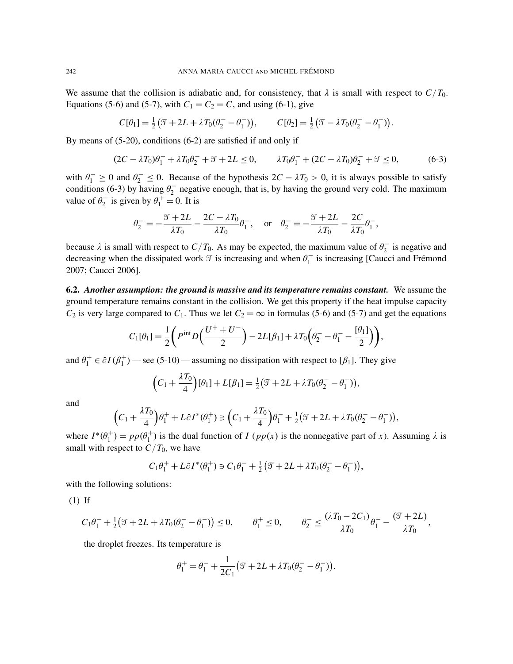We assume that the collision is adiabatic and, for consistency, that  $\lambda$  is small with respect to  $C/T_0$ . Equations (5-6) and (5-7), with  $C_1 = C_2 = C$ , and using (6-1), give

$$
C[\theta_1] = \frac{1}{2} \left( \mathcal{T} + 2L + \lambda T_0 (\theta_2^- - \theta_1^-) \right), \qquad C[\theta_2] = \frac{1}{2} \left( \mathcal{T} - \lambda T_0 (\theta_2^- - \theta_1^-) \right).
$$

By means of (5-20), conditions (6-2) are satisfied if and only if

$$
(2C - \lambda T_0)\theta_1^- + \lambda T_0\theta_2^- + \mathcal{T} + 2L \le 0, \qquad \lambda T_0\theta_1^- + (2C - \lambda T_0)\theta_2^- + \mathcal{T} \le 0,
$$
\n
$$
(6-3)
$$

with  $\theta_1^- \ge 0$  and  $\theta_2^- \le 0$ . Because of the hypothesis  $2C - \lambda T_0 > 0$ , it is always possible to satisfy conditions (6-3) by having  $\theta_2^ 2<sub>2</sub>$  negative enough, that is, by having the ground very cold. The maximum value of  $\theta_2^ \theta_1^+ = 0$ . It is

$$
\theta_2^- = -\frac{\mathcal{T} + 2L}{\lambda T_0} - \frac{2C - \lambda T_0}{\lambda T_0} \theta_1^-, \quad \text{or} \quad \theta_2^- = -\frac{\mathcal{T} + 2L}{\lambda T_0} - \frac{2C}{\lambda T_0} \theta_1^-,
$$

because  $\lambda$  is small with respect to  $C/T_0$ . As may be expected, the maximum value of  $\theta_2$  $v_2^-$  is negative and decreasing when the dissipated work  $\mathcal T$  is increasing and when  $\theta_1$  $i_1$ <sup> $\bar{i}$ </sup> is increasing [Caucci and Frémond 2007; Caucci 2006].

6.2. *Another assumption: the ground is massive and its temperature remains constant.* We assume the ground temperature remains constant in the collision. We get this property if the heat impulse capacity *C*<sub>2</sub> is very large compared to *C*<sub>1</sub>. Thus we let  $C_2 = \infty$  in formulas (5-6) and (5-7) and get the equations

$$
C_1[\theta_1] = \frac{1}{2} \left( P^{\text{int}} D \left( \frac{U^+ + U^-}{2} \right) - 2L[\beta_1] + \lambda T_0 \left( \theta_2^- - \theta_1^- - \frac{[\theta_1]}{2} \right) \right),
$$

and  $\theta_1^+ \in \partial I(\beta_1^+)$  — see (5-10) — assuming no dissipation with respect to [ $\beta_1$ ]. They give

$$
\left(C_1 + \frac{\lambda T_0}{4}\right)[\theta_1] + L[\beta_1] = \frac{1}{2}(\mathcal{T} + 2L + \lambda T_0(\theta_2^- - \theta_1^-)),
$$

and

$$
\left(C_1+\frac{\lambda T_0}{4}\right)\theta_1^+ + L\partial I^*(\theta_1^+) \ni \left(C_1+\frac{\lambda T_0}{4}\right)\theta_1^- + \frac{1}{2}\left(\mathcal{T}+2L+\lambda T_0(\theta_2^- - \theta_1^-)\right),
$$

where  $I^*(\theta_1^+) = pp(\theta_1^+)$  is the dual function of *I* ( $pp(x)$  is the nonnegative part of *x*). Assuming  $\lambda$  is small with respect to  $C/T_0$ , we have

$$
C_1\theta_1^+ + L\partial I^*(\theta_1^+) \ni C_1\theta_1^- + \frac{1}{2} \big(\mathcal{I} + 2L + \lambda T_0(\theta_2^- - \theta_1^-)\big),
$$

with the following solutions:

(1) If

$$
C_1\theta_1^- + \frac{1}{2}(\mathcal{T} + 2L + \lambda T_0(\theta_2^- - \theta_1^-)) \le 0, \qquad \theta_1^+ \le 0, \qquad \theta_2^- \le \frac{(\lambda T_0 - 2C_1)}{\lambda T_0}\theta_1^- - \frac{(\mathcal{T} + 2L)}{\lambda T_0},
$$

the droplet freezes. Its temperature is

$$
\theta_1^+ = \theta_1^- + \frac{1}{2C_1} \big( \mathcal{T} + 2L + \lambda T_0 (\theta_2^- - \theta_1^-) \big).
$$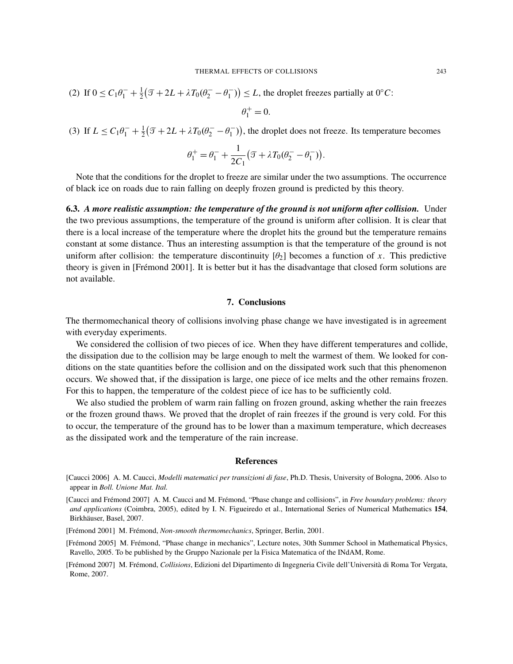(2) If 
$$
0 \le C_1 \theta_1^- + \frac{1}{2} (\mathcal{T} + 2L + \lambda T_0 (\theta_2^- - \theta_1^-)) \le L
$$
, the droplet freezes partially at 0°C:

$$
\theta_1^+=0.
$$

(3) If  $L \le C_1 \theta_1^- + \frac{1}{2}$  $\frac{1}{2}(\mathcal{I} + 2L + \lambda T_0(\theta_2^- - \theta_1^ \binom{1}{1}$ , the droplet does not freeze. Its temperature becomes

$$
\theta_1^+ = \theta_1^- + \frac{1}{2C_1} \big( \mathcal{T} + \lambda T_0 (\theta_2^- - \theta_1^-) \big).
$$

Note that the conditions for the droplet to freeze are similar under the two assumptions. The occurrence of black ice on roads due to rain falling on deeply frozen ground is predicted by this theory.

6.3. *A more realistic assumption: the temperature of the ground is not uniform after collision.* Under the two previous assumptions, the temperature of the ground is uniform after collision. It is clear that there is a local increase of the temperature where the droplet hits the ground but the temperature remains constant at some distance. Thus an interesting assumption is that the temperature of the ground is not uniform after collision: the temperature discontinuity  $[\theta_2]$  becomes a function of x. This predictive theory is given in [Frémond 2001]. It is better but it has the disadvantage that closed form solutions are not available.

#### 7. Conclusions

The thermomechanical theory of collisions involving phase change we have investigated is in agreement with everyday experiments.

We considered the collision of two pieces of ice. When they have different temperatures and collide, the dissipation due to the collision may be large enough to melt the warmest of them. We looked for conditions on the state quantities before the collision and on the dissipated work such that this phenomenon occurs. We showed that, if the dissipation is large, one piece of ice melts and the other remains frozen. For this to happen, the temperature of the coldest piece of ice has to be sufficiently cold.

We also studied the problem of warm rain falling on frozen ground, asking whether the rain freezes or the frozen ground thaws. We proved that the droplet of rain freezes if the ground is very cold. For this to occur, the temperature of the ground has to be lower than a maximum temperature, which decreases as the dissipated work and the temperature of the rain increase.

#### References

<sup>[</sup>Caucci 2006] A. M. Caucci, *Modelli matematici per transizioni di fase*, Ph.D. Thesis, University of Bologna, 2006. Also to appear in *Boll. Unione Mat. Ital.*

<sup>[</sup>Caucci and Frémond 2007] A. M. Caucci and M. Frémond, "Phase change and collisions", in *Free boundary problems: theory and applications* (Coimbra, 2005), edited by I. N. Figueiredo et al., International Series of Numerical Mathematics 154, Birkhäuser, Basel, 2007.

<sup>[</sup>Frémond 2001] M. Frémond, *Non-smooth thermomechanics*, Springer, Berlin, 2001.

<sup>[</sup>Frémond 2005] M. Frémond, "Phase change in mechanics", Lecture notes, 30th Summer School in Mathematical Physics, Ravello, 2005. To be published by the Gruppo Nazionale per la Fisica Matematica of the INdAM, Rome.

<sup>[</sup>Frémond 2007] M. Frémond, *Collisions*, Edizioni del Dipartimento di Ingegneria Civile dell'Università di Roma Tor Vergata, Rome, 2007.